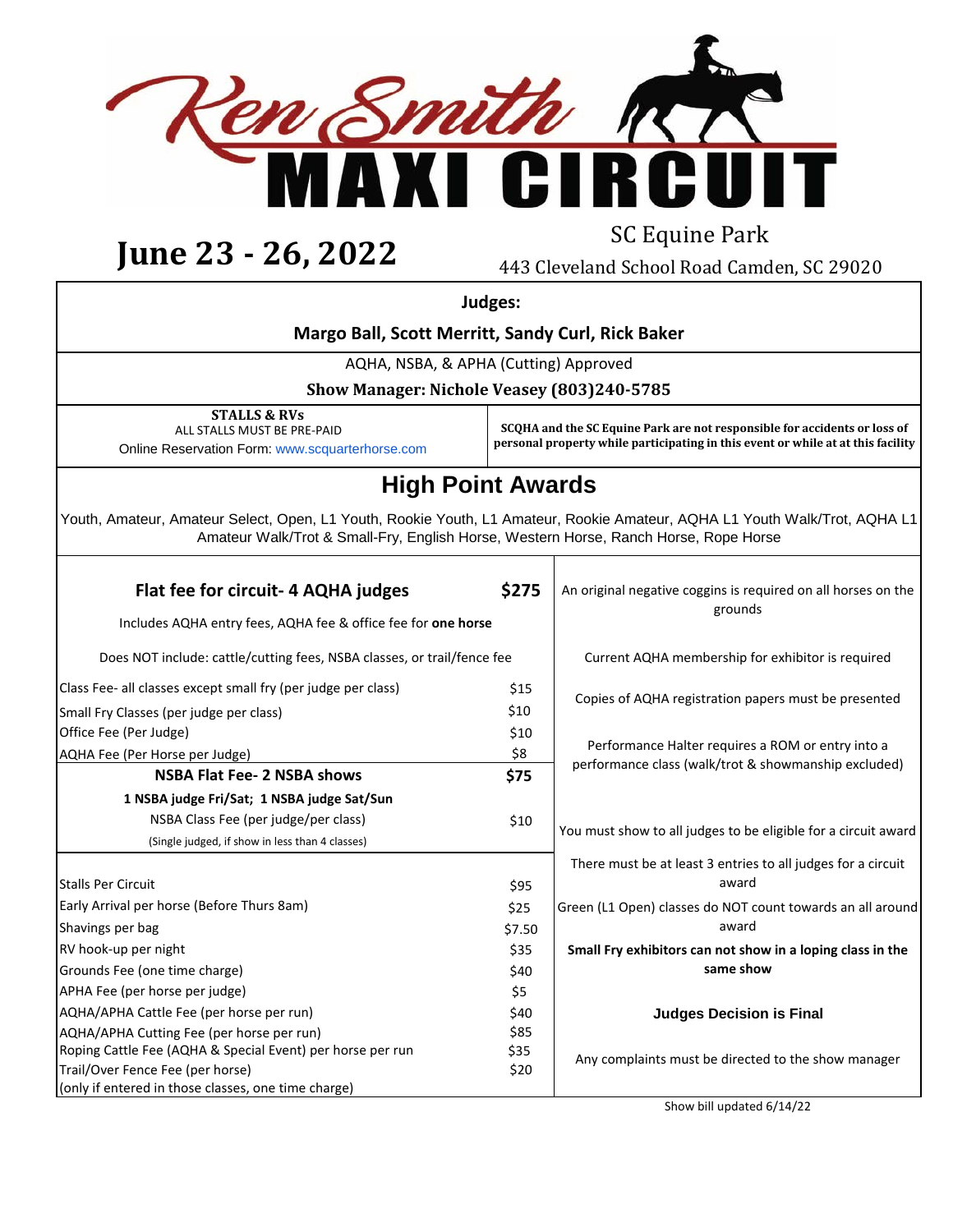

# **June 23 - 26, 2022** SC Equine Park

443 Cleveland School Road Camden, SC 29020

 **Judges:**

### **Margo Ball, Scott Merritt, Sandy Curl, Rick Baker**

AQHA, NSBA, & APHA (Cutting) Approved

**Show Manager: Nichole Veasey (803)240-5785** 

**STALLS & RVs** ALL STALLS MUST BE PRE-PAID Online Reservation Form: www.scquarterhorse.com

**SCQHA and the SC Equine Park are not responsible for accidents or loss of personal property while participating in this event or while at at this facility**

### **High Point Awards**

Youth, Amateur, Amateur Select, Open, L1 Youth, Rookie Youth, L1 Amateur, Rookie Amateur, AQHA L1 Youth Walk/Trot, AQHA L1 Amateur Walk/Trot & Small-Fry, English Horse, Western Horse, Ranch Horse, Rope Horse

| Flat fee for circuit- 4 AQHA judges<br>Includes AQHA entry fees, AQHA fee & office fee for one horse | \$275  | An original negative coggins is required on all horses on the<br>grounds |  |
|------------------------------------------------------------------------------------------------------|--------|--------------------------------------------------------------------------|--|
| Does NOT include: cattle/cutting fees, NSBA classes, or trail/fence fee                              |        | Current AQHA membership for exhibitor is required                        |  |
| Class Fee- all classes except small fry (per judge per class)                                        | \$15   | Copies of AQHA registration papers must be presented                     |  |
| Small Fry Classes (per judge per class)                                                              | \$10   |                                                                          |  |
| Office Fee (Per Judge)                                                                               | \$10   |                                                                          |  |
| AQHA Fee (Per Horse per Judge)                                                                       | \$8    | Performance Halter requires a ROM or entry into a                        |  |
| <b>NSBA Flat Fee- 2 NSBA shows</b>                                                                   | \$75   | performance class (walk/trot & showmanship excluded)                     |  |
| 1 NSBA judge Fri/Sat; 1 NSBA judge Sat/Sun                                                           |        |                                                                          |  |
| NSBA Class Fee (per judge/per class)                                                                 | \$10   |                                                                          |  |
| (Single judged, if show in less than 4 classes)                                                      |        | You must show to all judges to be eligible for a circuit award           |  |
|                                                                                                      |        | There must be at least 3 entries to all judges for a circuit             |  |
| <b>Stalls Per Circuit</b>                                                                            | \$95   | award                                                                    |  |
| Early Arrival per horse (Before Thurs 8am)                                                           | \$25   | Green (L1 Open) classes do NOT count towards an all around               |  |
| Shavings per bag                                                                                     | \$7.50 | award                                                                    |  |
| RV hook-up per night                                                                                 | \$35   | Small Fry exhibitors can not show in a loping class in the               |  |
| Grounds Fee (one time charge)                                                                        | \$40   | same show                                                                |  |
| APHA Fee (per horse per judge)                                                                       | \$5    |                                                                          |  |
| AQHA/APHA Cattle Fee (per horse per run)                                                             | \$40   | <b>Judges Decision is Final</b>                                          |  |
| AQHA/APHA Cutting Fee (per horse per run)                                                            | \$85   |                                                                          |  |
| Roping Cattle Fee (AQHA & Special Event) per horse per run                                           | \$35   | Any complaints must be directed to the show manager                      |  |
| Trail/Over Fence Fee (per horse)                                                                     | \$20   |                                                                          |  |
| (only if entered in those classes, one time charge)                                                  |        |                                                                          |  |

Show bill updated 6/14/22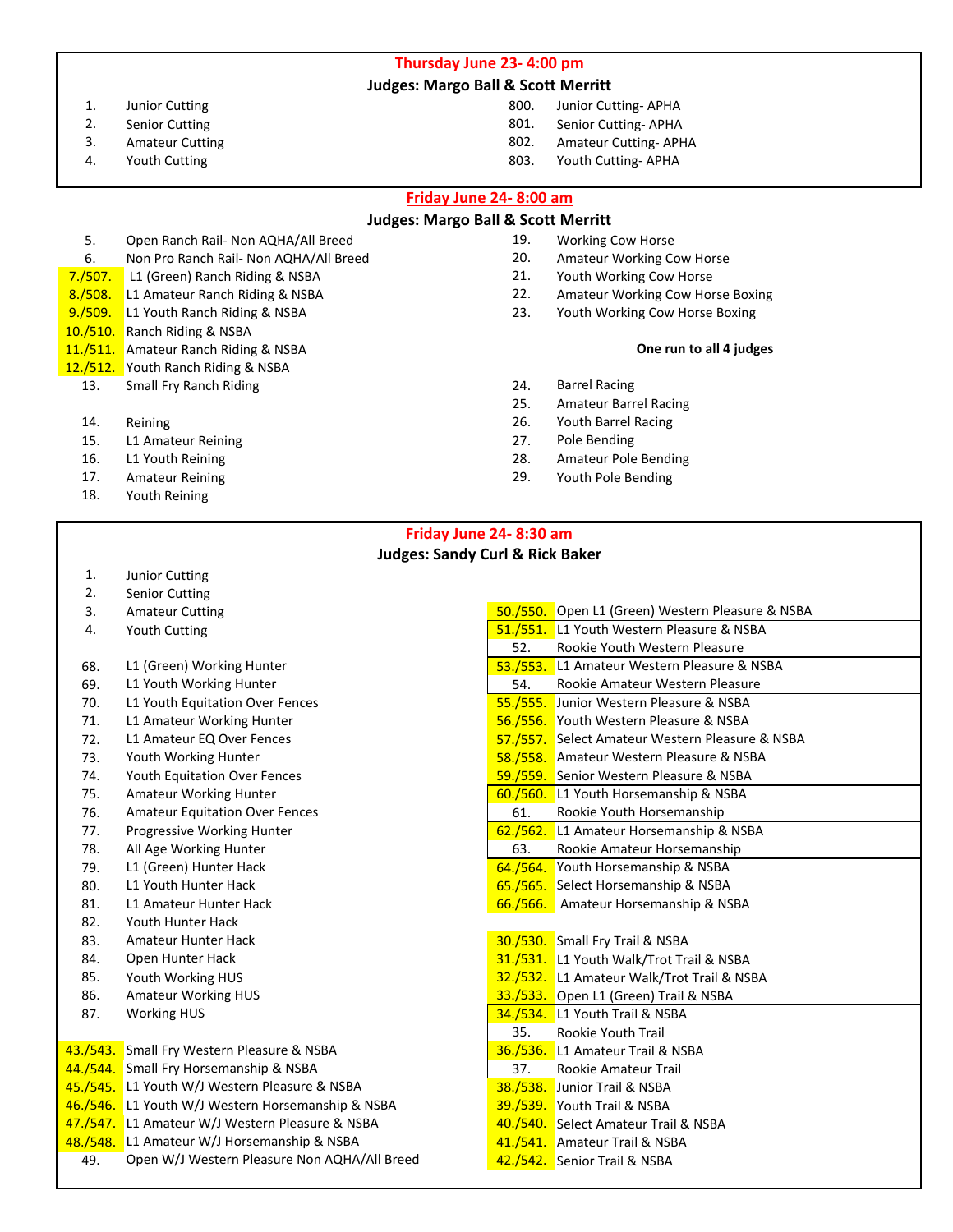**Thursday June 23- 4:00 pm**

#### **Judges: Margo Ball & Scott Merritt**

- 1. Junior Cutting 800. Junior Cutting- APHA
- 
- 
- 

#### 2. Senior Cutting 801. Senior Cutting- APHA

- 3. Amateur Cutting 802. Amateur Cutting- APHA
- 4. Youth Cutting 803. Youth Cutting- APHA

#### **Friday June 24- 8:00 am**

#### **Judges: Margo Ball & Scott Merritt**

- 5. Open Ranch Rail- Non AQHA/All Breed 19. 19. Working Cow Horse<br>6. Non Pro Ranch Rail- Non AOHA/All Breed 19. 20. Amateur Working Co
- 6. Non Pro Ranch Rail- Non AQHA/All Breed 20. Amateur Working Cow Horse<br>1907. L1 (Green) Ranch Riding & NSBA 21. Youth Working Cow Horse
- **7./507.** L1 (Green) Ranch Riding & NSBA 21.<br>19./508. L1 Amateur Ranch Riding & NSBA 22.
- 9./509. L1 Youth Ranch Riding & NSBA 23. Youth Working Cow Horse Boxing
- 10./510. Ranch Riding & NSBA
- 11./511. Amateur Ranch Riding & NSBA
- 12./512. Youth Ranch Riding & NSBA
	- 13. Small Fry Ranch Riding 24. Barrel Racing
	-
	- 15. L1 Amateur Reining 27.
	-
	-
	- 18. Youth Reining
- 
- 
- 
- 8./508. L1 Amateur Ranch Riding & NSBA 22. Amateur Working Cow Horse Boxing
	-

#### **One run to all 4 judges**

- 
- 25. Amateur Barrel Racing
- 14. Reining 15. In the control of the control of the control of the control of the control of the control of the control of the control of the control of the control of the control of the control of the control of the cont
	-
- 16. L1 Youth Reining 28. Amateur Pole Bending
- 17. Amateur Reining 29. Youth Pole Bending

#### **Friday June 24- 8:30 am Judges: Sandy Curl & Rick Baker**

- 1. Junior Cutting
- 2. Senior Cutting
- 3. Amateur Cutting
- 4. Youth Cutting
- 68. L1 (Green) Working Hunter
- 69. L1 Youth Working Hunter
- 70. L1 Youth Equitation Over Fences
- 71. L1 Amateur Working Hunter
- 72. L1 Amateur EQ Over Fences
- 73. Youth Working Hunter
- 74. Youth Equitation Over Fences
- 75. Amateur Working Hunter
- 76. Amateur Equitation Over Fences
- 77. Progressive Working Hunter
- 78. All Age Working Hunter
- 79. L1 (Green) Hunter Hack
- 80. L1 Youth Hunter Hack
- 81. L1 Amateur Hunter Hack
- 82. Youth Hunter Hack
- 83. Amateur Hunter Hack
- 84. Open Hunter Hack
- 85. Youth Working HUS
- 86. Amateur Working HUS
- 87. Working HUS

43./543. Small Fry Western Pleasure & NSBA 44./544. Small Fry Horsemanship & NSBA 45./545. L1 Youth W/J Western Pleasure & NSBA 46./546. L1 Youth W/J Western Horsemanship & NSBA 47./547. L1 Amateur W/J Western Pleasure & NSBA 48./548. L1 Amateur W/J Horsemanship & NSBA 49. Open W/J Western Pleasure Non AQHA/All Breed

|                 | 50./550. Open L1 (Green) Western Pleasure & NSBA |  |
|-----------------|--------------------------------------------------|--|
|                 | 51./551. L1 Youth Western Pleasure & NSBA        |  |
| 52.             | Rookie Youth Western Pleasure                    |  |
|                 | 53./553. L1 Amateur Western Pleasure & NSBA      |  |
| 54.             | Rookie Amateur Western Pleasure                  |  |
|                 | 55./555. Junior Western Pleasure & NSBA          |  |
|                 | 56./556. Youth Western Pleasure & NSBA           |  |
|                 | 57./557. Select Amateur Western Pleasure & NSBA  |  |
|                 | 58./558. Amateur Western Pleasure & NSBA         |  |
| <u>59./559.</u> | Senior Western Pleasure & NSBA                   |  |
|                 | 60./560. L1 Youth Horsemanship & NSBA            |  |
| 61.             | Rookie Youth Horsemanship                        |  |
|                 | 62./562. L1 Amateur Horsemanship & NSBA          |  |
| 63.             | Rookie Amateur Horsemanship                      |  |
|                 | 64./564. Youth Horsemanship & NSBA               |  |
| 65./565.        | Select Horsemanship & NSBA                       |  |
| 66./566.        | Amateur Horsemanship & NSBA                      |  |
|                 |                                                  |  |
|                 | 30./530. Small Fry Trail & NSBA                  |  |
|                 | 31./531. L1 Youth Walk/Trot Trail & NSBA         |  |
|                 | 32./532. L1 Amateur Walk/Trot Trail & NSBA       |  |
|                 | 33./533. Open L1 (Green) Trail & NSBA            |  |
|                 | 34./534. L1 Youth Trail & NSBA                   |  |
| 35.             | Rookie Youth Trail                               |  |
|                 | 36./536. L1 Amateur Trail & NSBA                 |  |
| 37.             | <b>Rookie Amateur Trail</b>                      |  |
|                 | 38./538. Junior Trail & NSBA                     |  |
|                 | 39./539. Youth Trail & NSBA                      |  |
|                 | 40./540. Select Amateur Trail & NSBA             |  |
|                 | 41./541. Amateur Trail & NSBA                    |  |
|                 | 42./542. Senior Trail & NSBA                     |  |
|                 |                                                  |  |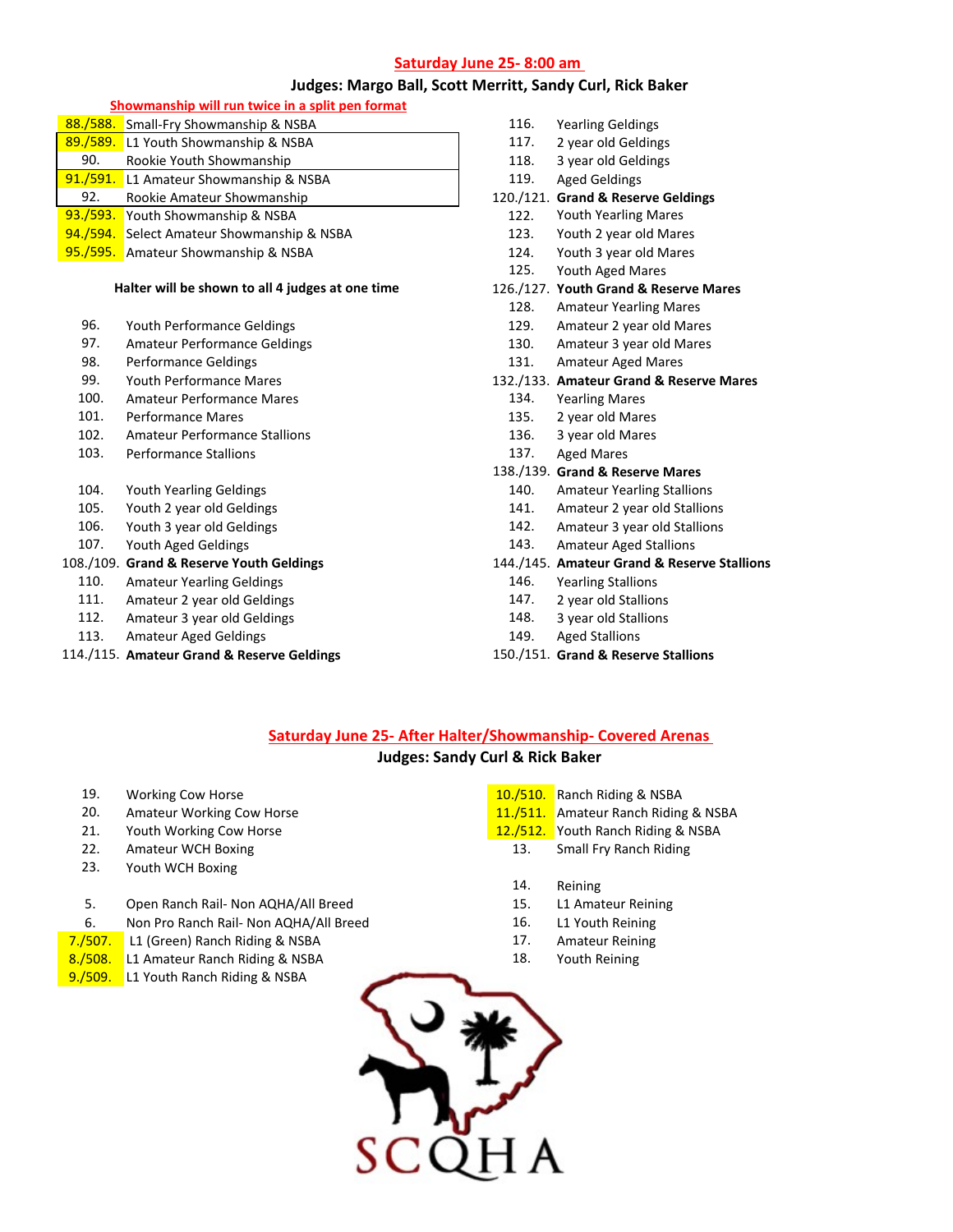#### **Saturday June 25- 8:00 am**

#### **Judges: Margo Ball, Scott Merritt, Sandy Curl, Rick Baker**

#### **Showmanship will run twice in a split pen format**

|     | 88./588. Small-Fry Showmanship & NSBA                                                                                                                                                                                                                                                                                                                                                                        |  |
|-----|--------------------------------------------------------------------------------------------------------------------------------------------------------------------------------------------------------------------------------------------------------------------------------------------------------------------------------------------------------------------------------------------------------------|--|
|     | 89./589. L1 Youth Showmanship & NSBA                                                                                                                                                                                                                                                                                                                                                                         |  |
| 90. | Rookie Youth Showmanship                                                                                                                                                                                                                                                                                                                                                                                     |  |
|     | 91./591. L1 Amateur Showmanship & NSBA                                                                                                                                                                                                                                                                                                                                                                       |  |
| 92. | Rookie Amateur Showmanship                                                                                                                                                                                                                                                                                                                                                                                   |  |
|     | 93./593. Youth Showmanship & NSBA                                                                                                                                                                                                                                                                                                                                                                            |  |
|     | 94./594. Select Amateur Showmanship & NSBA                                                                                                                                                                                                                                                                                                                                                                   |  |
|     | $\overline{AB}$ $\overline{AB}$ $\overline{BC}$ $\overline{BC}$ $\overline{BC}$ $\overline{BC}$ $\overline{BC}$ $\overline{BC}$ $\overline{BC}$ $\overline{BC}$ $\overline{BC}$ $\overline{BC}$ $\overline{BC}$ $\overline{BC}$ $\overline{BC}$ $\overline{BC}$ $\overline{BC}$ $\overline{BC}$ $\overline{BC}$ $\overline{BC}$ $\overline{BC}$ $\overline{BC}$ $\overline{BC}$ $\overline{BC}$ $\overline{$ |  |

95./595. Amateur Showmanship & NSBA 124. Youth 3 year old Mares

#### **Halter will be shown to all 4 judges at one time**

- 96. Youth Performance Geldings 129. Amateur 2 year old Mares
- 97. Amateur Performance Geldings (and the control of the 130. Amateur 3 year old Mares 130. Amateur 3 year old Mares 130. Amateur Aged Mares 130. Amateur Aged Mares 130. Amateur Aged Mares 130. Amateur Aged Mares 130. Amat
- 
- 
- 100. Amateur Performance Mares 134. Yearling Mares 134. Yearling Mares 134. Yearling Mares
- 
- 102. Amateur Performance Stallions 136. 3 year old Mares
- 103. Performance Stallions 103. Aged Mares
- 
- 
- 
- 

- 110. Amateur Yearling Geldings 146. Yearling Stallions
- 
- 112. Amateur 3 year old Geldings 148. 3 year old Stallions
- 113. Amateur Aged Geldings 149. Aged Stallions

#### 114./115. **Amateur Grand & Reserve Geldings** 150./151. **Grand & Reserve Stallions**

- 116. Yearling Geldings
- 117. 2 year old Geldings
- 
- 118. 3 year old Geldings<br>119. Aged Geldings Aged Geldings
- 120./121. Grand & Reserve Geldings
	- 122. Youth Yearling Mares
	- 123. Youth 2 year old Mares
	-
	- 125. Youth Aged Mares

#### 126./127. **Youth Grand & Reserve Mares**

- 128. Amateur Yearling Mares
- 
- 
- Performance Geldings and the settlement of the 131. Amateur Aged Mares

#### 99. Youth Performance Mares 132./133. **Amateur Grand & Reserve Mares**

- 
- Performance Mares **135.** 2 year old Mares
	-
	-

#### 138./139. **Grand & Reserve Mares**

- 104. Youth Yearling Geldings 140. Amateur Yearling Stallions
- 105. Youth 2 year old Geldings 141. Amateur 2 year old Stallions
- 106. Youth 3 year old Geldings 142. Amateur 3 year old Stallions
- 107. Youth Aged Geldings 143. Amateur Aged Stallions

#### 108./109. **Grand & Reserve Youth Geldings** 144./145. **Amateur Grand & Reserve Stallions**

- 
- 111. Amateur 2 year old Geldings 147. 2 year old Stallions
	-
	-
	-

### **Saturday June 25- After Halter/Showmanship- Covered Arenas**

#### **Judges: Sandy Curl & Rick Baker**

- 
- 
- 21. Youth Working Cow Horse 12.12.12. Youth Ranch Riding & NSBA
- 22. Amateur WCH Boxing 22. Amateur WCH Boxing 22. Small Fry Ranch Riding
- 23. Youth WCH Boxing

#### 5. Open Ranch Rail- Non AQHA/All Breed 15. L1 Amateur Reining

- 6. Non Pro Ranch Rail- Non AQHA/All Breed 16. L1 Youth Reining
- 7./507. L1 (Green) Ranch Riding & NSBA 17. Amateur Reining
- 8./508. L1 Amateur Ranch Riding & NSBA 18. Youth Reining
- 9./509. L1 Youth Ranch Riding & NSBA
- 19. Working Cow Horse 10.000 and 10.000 and 10.000 and 10.000 and 10.000 and 10.000 and 10.000 and 10.000 and 1
- 20. Amateur Working Cow Horse 11.1 **11./511.** Amateur Ranch Riding & NSBA
	- -
		- 14. Reining
		-
	-
	-
	-

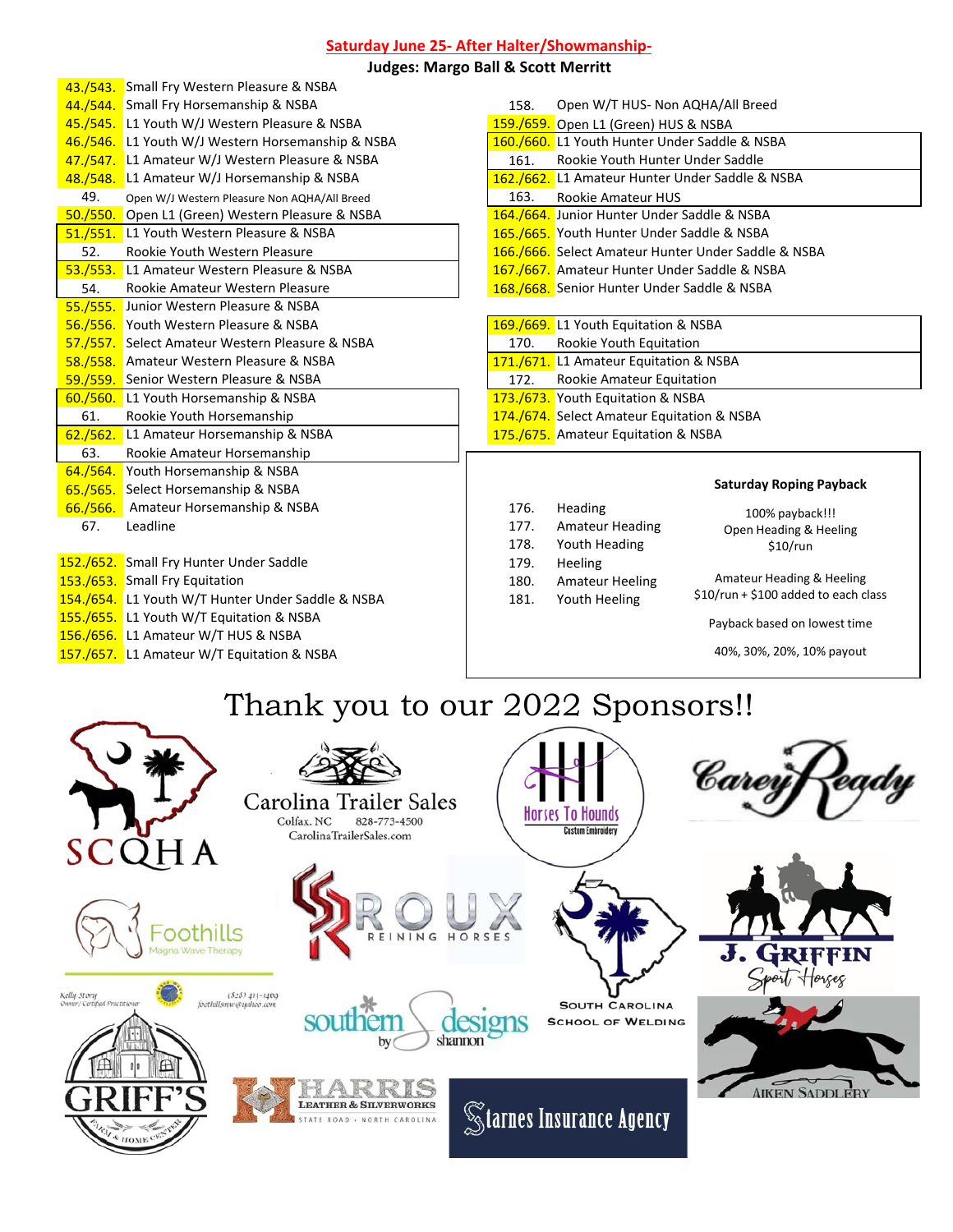#### **Saturday June 25- After Halter/Showmanship-**

#### **Judges: Margo Ball & Scott Merritt**

|          | 43./543. Small Fry Western Pleasure & NSBA        |      |                                                     |
|----------|---------------------------------------------------|------|-----------------------------------------------------|
|          | 44./544. Small Fry Horsemanship & NSBA            | 158. | Open W/T HUS- Non AQHA/All Breed                    |
|          | 45./545. L1 Youth W/J Western Pleasure & NSBA     |      | 159./659. Open L1 (Green) HUS & NSBA                |
|          | 46./546. L1 Youth W/J Western Horsemanship & NSBA |      | 160./660. L1 Youth Hunter Under Saddle & NSBA       |
|          | 47./547. L1 Amateur W/J Western Pleasure & NSBA   | 161. | Rookie Youth Hunter Under Saddle                    |
|          | 48./548. L1 Amateur W/J Horsemanship & NSBA       |      | 162./662. L1 Amateur Hunter Under Saddle & NSBA     |
| 49.      | Open W/J Western Pleasure Non AQHA/All Breed      | 163. | <b>Rookie Amateur HUS</b>                           |
|          | 50./550. Open L1 (Green) Western Pleasure & NSBA  |      | 164./664. Junior Hunter Under Saddle & NSBA         |
|          | 51./551. L1 Youth Western Pleasure & NSBA         |      | 165./665. Youth Hunter Under Saddle & NSBA          |
| 52.      | Rookie Youth Western Pleasure                     |      | 166./666. Select Amateur Hunter Under Saddle & NSBA |
| 53./553. | L1 Amateur Western Pleasure & NSBA                |      | 167./667. Amateur Hunter Under Saddle & NSBA        |
| 54.      | Rookie Amateur Western Pleasure                   |      | 168./668. Senior Hunter Under Saddle & NSBA         |
|          | 55./555. Junior Western Pleasure & NSBA           |      |                                                     |
|          | 56./556. Youth Western Pleasure & NSBA            |      | 169./669. L1 Youth Equitation & NSBA                |
|          | 57./557. Select Amateur Western Pleasure & NSBA   | 170. | Rookie Youth Equitation                             |
|          | 58./558. Amateur Western Pleasure & NSBA          |      | 171./671. L1 Amateur Equitation & NSBA              |
|          | 59./559. Senior Western Pleasure & NSBA           | 172. | Rookie Amateur Equitation                           |
| 60./560. | L1 Youth Horsemanship & NSBA                      |      | 173./673. Youth Equitation & NSBA                   |
| 61.      | Rookie Youth Horsemanship                         |      | 174./674. Select Amateur Equitation & NSBA          |
| 62./562. | L1 Amateur Horsemanship & NSBA                    |      | 175./675. Amateur Equitation & NSBA                 |
| 63.      | Rookie Amateur Horsemanship                       |      |                                                     |
| 64./564. | Youth Horsemanship & NSBA                         |      |                                                     |
| 65./565. | Select Horsemanship & NSBA                        |      | <b>Saturday Roping P</b>                            |
| 66./566. | Amateur Horsemanship & NSBA                       | 176. | <b>Heading</b><br>100% payback                      |
| 67.      | Leadline                                          | 177. | <b>Amateur Heading</b><br>Open Heading & H          |
|          |                                                   | 178. | Youth Heading<br>$$10$ /run                         |
|          | 152./652. Small Fry Hunter Under Saddle           | 179. | Heeling                                             |
|          |                                                   |      |                                                     |

| <b>152./652.</b> Stridll Fry Hunter Under Saddle  | 179. | <b>Heeling</b>         |
|---------------------------------------------------|------|------------------------|
| 153./653. Small Fry Equitation                    | 180. | <b>Amateur Heeling</b> |
| 154./654. L1 Youth W/T Hunter Under Saddle & NSBA | 181. | Youth Heeling          |
| 155./655. L1 Youth W/T Equitation & NSBA          |      |                        |
| 156./656. L1 Amateur W/T HUS & NSBA               |      |                        |
| 157./657. L1 Amateur W/T Equitation & NSBA        |      |                        |
|                                                   |      |                        |

| 158. | Open W/T HUS- Non AQHA/All Breed                    |  |  |
|------|-----------------------------------------------------|--|--|
|      | 159./659. Open L1 (Green) HUS & NSBA                |  |  |
|      | 160./660. L1 Youth Hunter Under Saddle & NSBA       |  |  |
| 161. | Rookie Youth Hunter Under Saddle                    |  |  |
|      | 162./662. L1 Amateur Hunter Under Saddle & NSBA     |  |  |
|      | 163. Rookie Amateur HUS                             |  |  |
|      | 164./664. Junior Hunter Under Saddle & NSBA         |  |  |
|      | 165./665. Youth Hunter Under Saddle & NSBA          |  |  |
|      | 166./666. Select Amateur Hunter Under Saddle & NSBA |  |  |
|      | 167./667. Amateur Hunter Under Saddle & NSBA        |  |  |
|      | 168./668. Senior Hunter Under Saddle & NSBA         |  |  |
|      |                                                     |  |  |

#### 169./669. L1 Youth Equitation & NSBA 170. Rookie Youth Equitation

- 171./671. L1 Amateur Equitation & NSBA
- 172. Rookie Amateur Equitation
- 173./673. Youth Equitation & NSBA
- 174./674. Select Amateur Equitation & NSBA
- 175./675. Amateur Equitation & NSBA

#### **Saturday Roping Payback**

| 176.<br>177.<br>178. | Heading<br><b>Amateur Heading</b><br>Youth Heading        | 100% payback!!!<br>Open Heading & Heeling<br>$$10$ /run           |
|----------------------|-----------------------------------------------------------|-------------------------------------------------------------------|
| 179.<br>180.<br>181. | <b>Heeling</b><br><b>Amateur Heeling</b><br>Youth Heeling | Amateur Heading & Heeling<br>\$10/run + \$100 added to each class |
|                      |                                                           | Payback based on lowest time                                      |
|                      |                                                           | 40%, 30%, 20%, 10% payout                                         |

## Thank you to our 2022 Sponsors!!